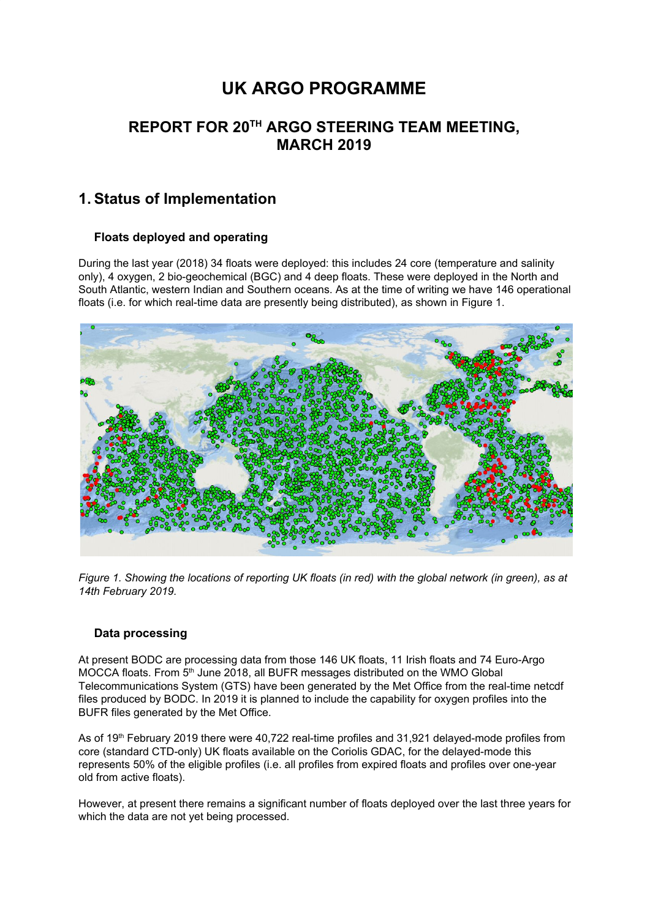# **UK ARGO PROGRAMME**

### **REPORT FOR 20 TH ARGO STEERING TEAM MEETING, MARCH 2019**

### **1. Status of Implementation**

#### **Floats deployed and operating**

During the last year (2018) 34 floats were deployed: this includes 24 core (temperature and salinity only), 4 oxygen, 2 bio-geochemical (BGC) and 4 deep floats. These were deployed in the North and South Atlantic, western Indian and Southern oceans. As at the time of writing we have 146 operational floats (i.e. for which real-time data are presently being distributed), as shown in Figure 1.



Figure 1. Showing the locations of reporting UK floats (in red) with the global network (in green), as at *14th February 2019.*

#### **Data processing**

At present BODC are processing data from those 146 UK floats, 11 Irish floats and 74 Euro-Argo MOCCA floats. From 5<sup>th</sup> June 2018, all BUFR messages distributed on the WMO Global Telecommunications System (GTS) have been generated by the Met Office from the real-time netcdf files produced by BODC. In 2019 it is planned to include the capability for oxygen profiles into the BUFR files generated by the Met Office.

As of 19<sup>th</sup> February 2019 there were 40,722 real-time profiles and 31,921 delayed-mode profiles from core (standard CTD-only) UK floats available on the Coriolis GDAC, for the delayed-mode this represents 50% of the eligible profiles (i.e. all profiles from expired floats and profiles over one-year old from active floats).

However, at present there remains a significant number of floats deployed over the last three years for which the data are not yet being processed.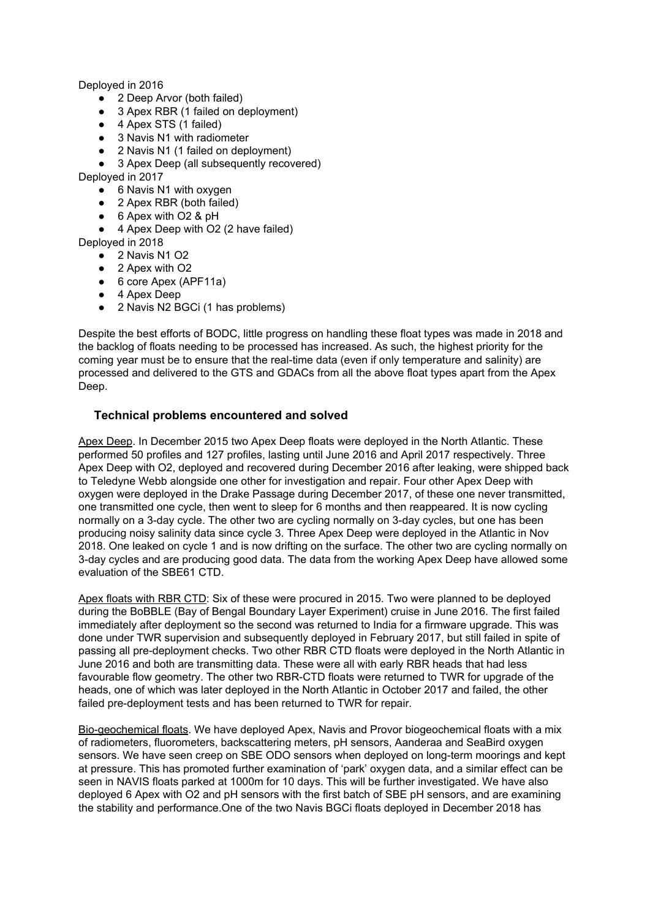Deployed in 2016

- 2 Deep Arvor (both failed)
- 3 Apex RBR (1 failed on deployment)
- 4 Apex STS (1 failed)
- 3 Navis N1 with radiometer
- 2 Navis N1 (1 failed on deployment)
- 3 Apex Deep (all subsequently recovered)

Deployed in 2017

- 6 Navis N1 with oxygen
- 2 Apex RBR (both failed)
- 6 Apex with O2 & pH
- 4 Apex Deep with O2 (2 have failed)
- Deployed in 2018
	- 2 Navis N1 O2
	- 2 Apex with O2
	- 6 core Apex (APF11a)
	- 4 Apex Deep
	- 2 Navis N2 BGCi (1 has problems)

Despite the best efforts of BODC, little progress on handling these float types was made in 2018 and the backlog of floats needing to be processed has increased. As such, the highest priority for the coming year must be to ensure that the real-time data (even if only temperature and salinity) are processed and delivered to the GTS and GDACs from all the above float types apart from the Apex Deep.

#### **Technical problems encountered and solved**

Apex Deep. In December 2015 two Apex Deep floats were deployed in the North Atlantic. These performed 50 profiles and 127 profiles, lasting until June 2016 and April 2017 respectively. Three Apex Deep with O2, deployed and recovered during December 2016 after leaking, were shipped back to Teledyne Webb alongside one other for investigation and repair. Four other Apex Deep with oxygen were deployed in the Drake Passage during December 2017, of these one never transmitted, one transmitted one cycle, then went to sleep for 6 months and then reappeared. It is now cycling normally on a 3-day cycle. The other two are cycling normally on 3-day cycles, but one has been producing noisy salinity data since cycle 3. Three Apex Deep were deployed in the Atlantic in Nov 2018. One leaked on cycle 1 and is now drifting on the surface. The other two are cycling normally on 3-day cycles and are producing good data. The data from the working Apex Deep have allowed some evaluation of the SBE61 CTD.

Apex floats with RBR CTD: Six of these were procured in 2015. Two were planned to be deployed during the BoBBLE (Bay of Bengal Boundary Layer Experiment) cruise in June 2016. The first failed immediately after deployment so the second was returned to India for a firmware upgrade. This was done under TWR supervision and subsequently deployed in February 2017, but still failed in spite of passing all pre-deployment checks. Two other RBR CTD floats were deployed in the North Atlantic in June 2016 and both are transmitting data. These were all with early RBR heads that had less favourable flow geometry. The other two RBR-CTD floats were returned to TWR for upgrade of the heads, one of which was later deployed in the North Atlantic in October 2017 and failed, the other failed pre-deployment tests and has been returned to TWR for repair.

Bio-geochemical floats. We have deployed Apex, Navis and Provor biogeochemical floats with a mix of radiometers, fluorometers, backscattering meters, pH sensors, Aanderaa and SeaBird oxygen sensors. We have seen creep on SBE ODO sensors when deployed on long-term moorings and kept at pressure. This has promoted further examination of 'park' oxygen data, and a similar effect can be seen in NAVIS floats parked at 1000m for 10 days. This will be further investigated. We have also deployed 6 Apex with O2 and pH sensors with the first batch of SBE pH sensors, and are examining the stability and performance.One of the two Navis BGCi floats deployed in December 2018 has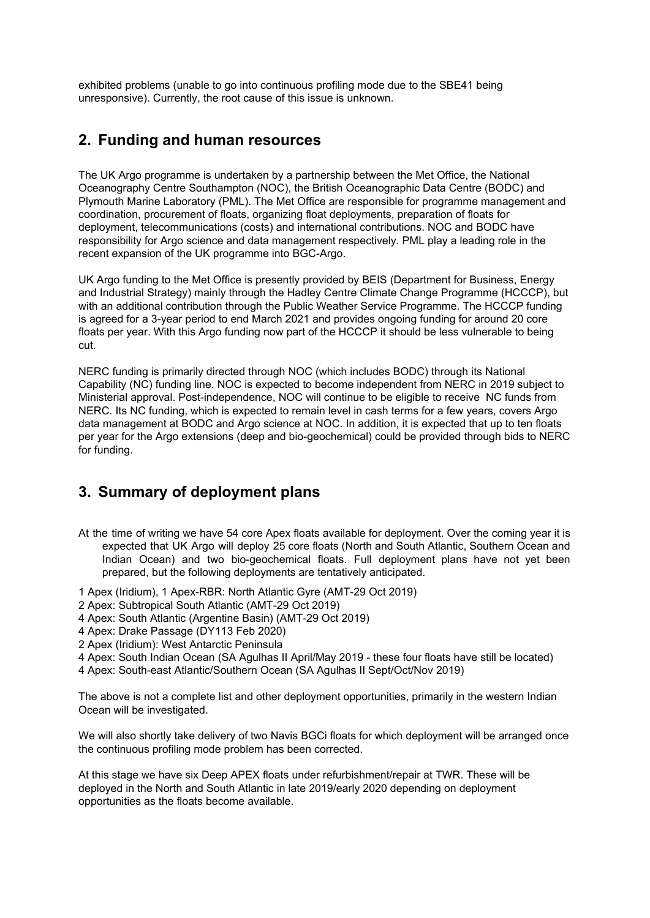exhibited problems (unable to go into continuous profiling mode due to the SBE41 being unresponsive). Currently, the root cause of this issue is unknown.

### **2. Funding and human resources**

The UK Argo programme is undertaken by a partnership between the Met Office, the National Oceanography Centre Southampton (NOC), the British Oceanographic Data Centre (BODC) and Plymouth Marine Laboratory (PML). The Met Office are responsible for programme management and coordination, procurement of floats, organizing float deployments, preparation of floats for deployment, telecommunications (costs) and international contributions. NOC and BODC have responsibility for Argo science and data management respectively. PML play a leading role in the recent expansion of the UK programme into BGC-Argo.

UK Argo funding to the Met Office is presently provided by BEIS (Department for Business, Energy and Industrial Strategy) mainly through the Hadley Centre Climate Change Programme (HCCCP), but with an additional contribution through the Public Weather Service Programme. The HCCCP funding is agreed for a 3-year period to end March 2021 and provides ongoing funding for around 20 core floats per year. With this Argo funding now part of the HCCCP it should be less vulnerable to being cut.

NERC funding is primarily directed through NOC (which includes BODC) through its National Capability (NC) funding line. NOC is expected to become independent from NERC in 2019 subject to Ministerial approval. Post-independence, NOC will continue to be eligible to receive NC funds from NERC. Its NC funding, which is expected to remain level in cash terms for a few years, covers Argo data management at BODC and Argo science at NOC. In addition, it is expected that up to ten floats per year for the Argo extensions (deep and bio-geochemical) could be provided through bids to NERC for funding.

### **3. Summary of deployment plans**

- At the time of writing we have 54 core Apex floats available for deployment. Over the coming year it is expected that UK Argo will deploy 25 core floats (North and South Atlantic, Southern Ocean and Indian Ocean) and two bio-geochemical floats. Full deployment plans have not yet been prepared, but the following deployments are tentatively anticipated.
- 1 Apex (Iridium), 1 Apex-RBR: North Atlantic Gyre (AMT-29 Oct 2019)
- 2 Apex: Subtropical South Atlantic (AMT-29 Oct 2019)
- 4 Apex: South Atlantic (Argentine Basin) (AMT-29 Oct 2019)
- 4 Apex: Drake Passage (DY113 Feb 2020)
- 2 Apex (Iridium): West Antarctic Peninsula
- 4 Apex: South Indian Ocean (SA Agulhas II April/May 2019 these four floats have still be located)
- 4 Apex: South-east Atlantic/Southern Ocean (SA Agulhas II Sept/Oct/Nov 2019)

The above is not a complete list and other deployment opportunities, primarily in the western Indian Ocean will be investigated.

We will also shortly take delivery of two Navis BGCi floats for which deployment will be arranged once the continuous profiling mode problem has been corrected.

At this stage we have six Deep APEX floats under refurbishment/repair at TWR. These will be deployed in the North and South Atlantic in late 2019/early 2020 depending on deployment opportunities as the floats become available.